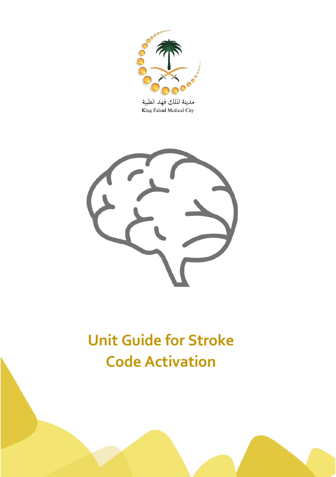



# **Unit Guide for Stroke Code Activation**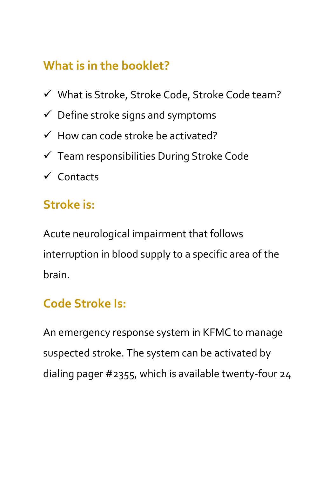# **What is in the booklet?**

- $\checkmark$  What is Stroke, Stroke Code, Stroke Code team?
- $\checkmark$  Define stroke signs and symptoms
- $\checkmark$  How can code stroke be activated?
- $\checkmark$  Team responsibilities During Stroke Code
- $\checkmark$  Contacts

## **Stroke is:**

Acute neurological impairment that follows interruption in blood supply to a specific area of the brain.

#### **Code Stroke Is:**

An emergency response system in KFMC to manage suspected stroke. The system can be activated by dialing pager #2355, which is available twenty-four 24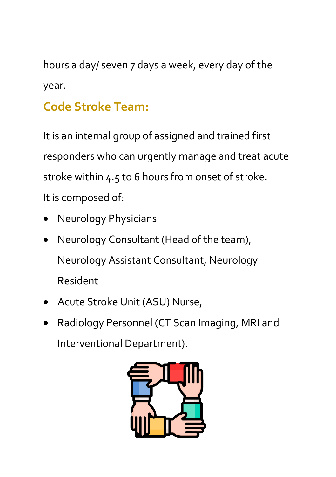hours a day/ seven 7 days a week, every day of the year.

# **Code Stroke Team:**

It is an internal group of assigned and trained first responders who can urgently manage and treat acute stroke within 4.5 to 6 hours from onset of stroke. It is composed of:

- Neurology Physicians
- Neurology Consultant (Head of the team), Neurology Assistant Consultant, Neurology Resident
- Acute Stroke Unit (ASU) Nurse,
- Radiology Personnel (CT Scan Imaging, MRI and Interventional Department).

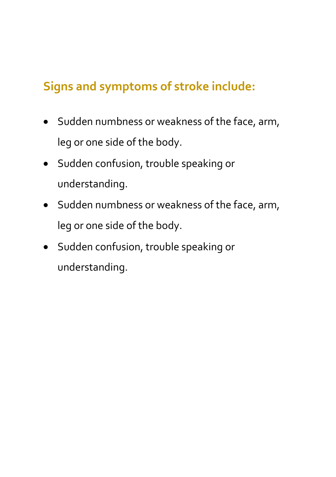## **Signs and symptoms of stroke include:**

- Sudden numbness or weakness of the face, arm, leg or one side of the body.
- Sudden confusion, trouble speaking or understanding.
- Sudden numbness or weakness of the face, arm, leg or one side of the body.
- Sudden confusion, trouble speaking or understanding.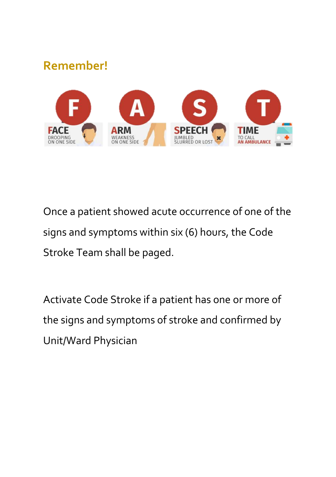#### **Remember!**



Once a patient showed acute occurrence of one of the signs and symptoms within six (6) hours, the Code Stroke Team shall be paged.

Activate Code Stroke if a patient has one or more of the signs and symptoms of stroke and confirmed by Unit/Ward Physician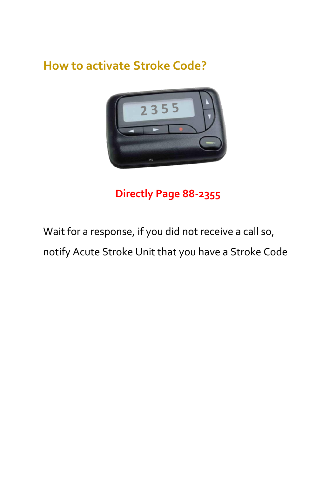#### **How to activate Stroke Code?**



#### **Directly Page 88-2355**

Wait for a response, if you did not receive a call so, notify Acute Stroke Unit that you have a Stroke Code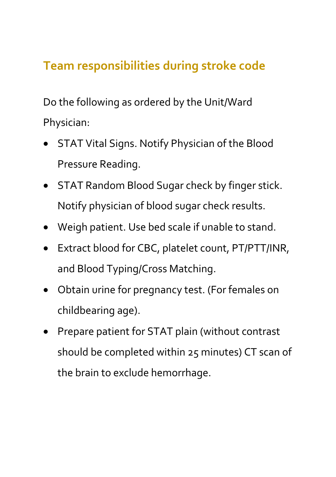## **Team responsibilities during stroke code**

Do the following as ordered by the Unit/Ward Physician:

- STAT Vital Signs. Notify Physician of the Blood Pressure Reading.
- STAT Random Blood Sugar check by finger stick. Notify physician of blood sugar check results.
- Weigh patient. Use bed scale if unable to stand.
- Extract blood for CBC, platelet count, PT/PTT/INR, and Blood Typing/Cross Matching.
- Obtain urine for pregnancy test. (For females on childbearing age).
- Prepare patient for STAT plain (without contrast should be completed within 25 minutes) CT scan of the brain to exclude hemorrhage.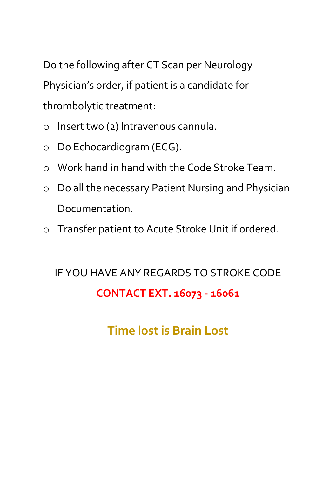Do the following after CT Scan per Neurology Physician's order, if patient is a candidate for thrombolytic treatment:

- o Insert two (2) Intravenous cannula.
- o Do Echocardiogram (ECG).
- o Work hand in hand with the Code Stroke Team.
- o Do all the necessary Patient Nursing and Physician Documentation.
- o Transfer patient to Acute Stroke Unit if ordered.

# IF YOU HAVE ANY REGARDS TO STROKE CODE **CONTACT EXT. 16073 - 16061**

**Time lost is Brain Lost**